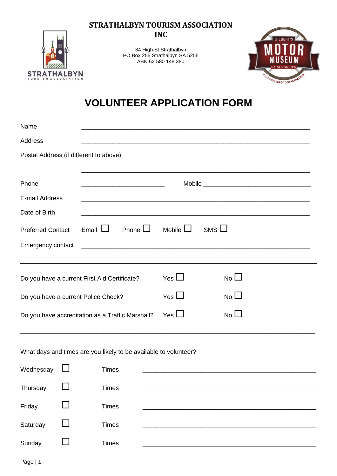**STRATHALBYN TOURISM ASSOCIATION INC**



34 High St Strathalbyn PO Box 255 Strathalbyn SA 5255 ABN 62 580 148 380



## **VOLUNTEER APPLICATION FORM**

| Name                                                                         |  |                                                                                                                      |              |                  |              |  |  |
|------------------------------------------------------------------------------|--|----------------------------------------------------------------------------------------------------------------------|--------------|------------------|--------------|--|--|
| Address                                                                      |  |                                                                                                                      |              |                  |              |  |  |
|                                                                              |  | Postal Address (if different to above)                                                                               |              |                  |              |  |  |
|                                                                              |  |                                                                                                                      |              |                  |              |  |  |
| Phone                                                                        |  | <u> 1989 - Johann Barbara, martin amerikan basar dan berasal dalam basa dalam basar dalam basar dalam basa dalam</u> |              |                  |              |  |  |
| E-mail Address                                                               |  |                                                                                                                      |              |                  |              |  |  |
| Date of Birth                                                                |  |                                                                                                                      |              |                  |              |  |  |
| <b>Preferred Contact</b>                                                     |  | Email $\Box$                                                                                                         | Phone $\Box$ | Mobile $\square$ | $SMS$ $\Box$ |  |  |
| Emergency contact                                                            |  |                                                                                                                      |              |                  |              |  |  |
|                                                                              |  |                                                                                                                      |              |                  |              |  |  |
| Yes $\Box$<br>$No$ $\square$<br>Do you have a current First Aid Certificate? |  |                                                                                                                      |              |                  |              |  |  |
| Do you have a current Police Check?                                          |  |                                                                                                                      | Yes $\Box$   | $No$ $\Box$      |              |  |  |
| Do you have accreditation as a Traffic Marshall?                             |  |                                                                                                                      | Yes $\Box$   | $No$ $\Box$      |              |  |  |
|                                                                              |  |                                                                                                                      |              |                  |              |  |  |
| What days and times are you likely to be available to volunteer?             |  |                                                                                                                      |              |                  |              |  |  |
| Wednesday                                                                    |  | <b>Times</b>                                                                                                         |              |                  |              |  |  |
| Thursday                                                                     |  | <b>Times</b>                                                                                                         |              |                  |              |  |  |
| Friday                                                                       |  | <b>Times</b>                                                                                                         |              |                  |              |  |  |
| Saturday                                                                     |  | <b>Times</b>                                                                                                         |              |                  |              |  |  |
| Sunday                                                                       |  | <b>Times</b>                                                                                                         |              |                  |              |  |  |
|                                                                              |  |                                                                                                                      |              |                  |              |  |  |